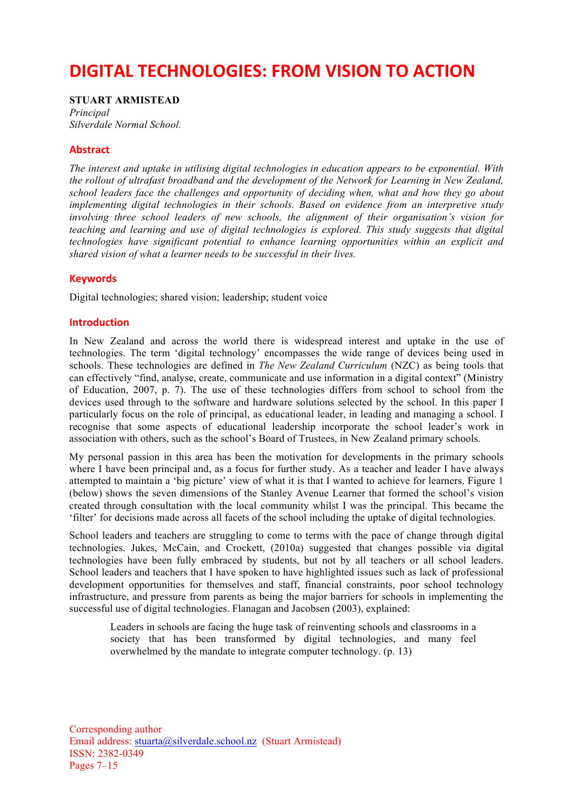# **DIGITAL TECHNOLOGIES: FROM VISION TO ACTION**

**STUART ARMISTEAD** *Principal Silverdale Normal School.*

## **Abstract**

*The interest and uptake in utilising digital technologies in education appears to be exponential. With the rollout of ultrafast broadband and the development of the Network for Learning in New Zealand, school leaders face the challenges and opportunity of deciding when, what and how they go about implementing digital technologies in their schools. Based on evidence from an interpretive study involving three school leaders of new schools, the alignment of their organisation's vision for teaching and learning and use of digital technologies is explored. This study suggests that digital technologies have significant potential to enhance learning opportunities within an explicit and shared vision of what a learner needs to be successful in their lives.*

# **Keywords**

Digital technologies; shared vision; leadership; student voice

## **Introduction**

In New Zealand and across the world there is widespread interest and uptake in the use of technologies. The term 'digital technology' encompasses the wide range of devices being used in schools. These technologies are defined in *The New Zealand Curriculum* (NZC) as being tools that can effectively "find, analyse, create, communicate and use information in a digital context" (Ministry of Education, 2007, p. 7). The use of these technologies differs from school to school from the devices used through to the software and hardware solutions selected by the school. In this paper I particularly focus on the role of principal, as educational leader, in leading and managing a school. I recognise that some aspects of educational leadership incorporate the school leader's work in association with others, such as the school's Board of Trustees, in New Zealand primary schools.

My personal passion in this area has been the motivation for developments in the primary schools where I have been principal and, as a focus for further study. As a teacher and leader I have always attempted to maintain a 'big picture' view of what it is that I wanted to achieve for learners. Figure 1 (below) shows the seven dimensions of the Stanley Avenue Learner that formed the school's vision created through consultation with the local community whilst I was the principal. This became the 'filter' for decisions made across all facets of the school including the uptake of digital technologies.

School leaders and teachers are struggling to come to terms with the pace of change through digital technologies. Jukes, McCain, and Crockett, (2010a) suggested that changes possible via digital technologies have been fully embraced by students, but not by all teachers or all school leaders. School leaders and teachers that I have spoken to have highlighted issues such as lack of professional development opportunities for themselves and staff, financial constraints, poor school technology infrastructure, and pressure from parents as being the major barriers for schools in implementing the successful use of digital technologies. Flanagan and Jacobsen (2003), explained:

Leaders in schools are facing the huge task of reinventing schools and classrooms in a society that has been transformed by digital technologies, and many feel overwhelmed by the mandate to integrate computer technology. (p. 13)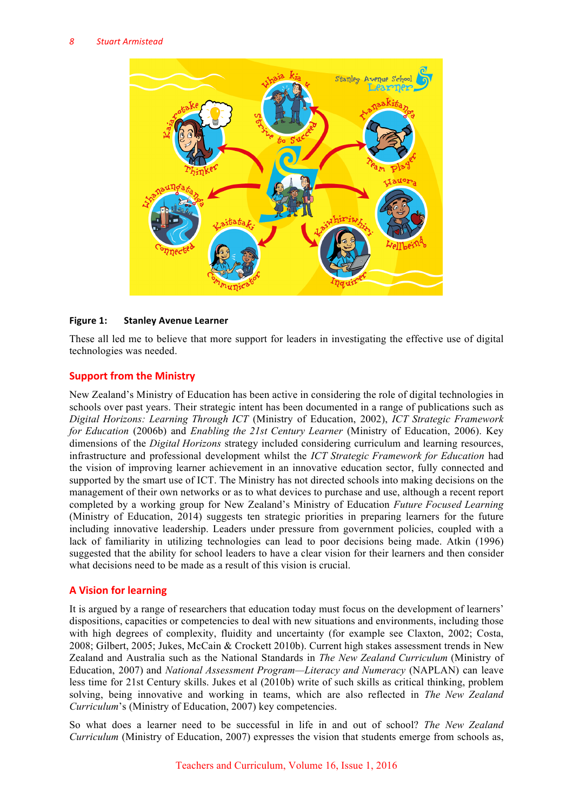

## **Figure 1: Stanley Avenue Learner**

These all led me to believe that more support for leaders in investigating the effective use of digital technologies was needed.

# **Support from the Ministry**

New Zealand's Ministry of Education has been active in considering the role of digital technologies in schools over past years. Their strategic intent has been documented in a range of publications such as *Digital Horizons: Learning Through ICT* (Ministry of Education, 2002), *ICT Strategic Framework for Education* (2006b) and *Enabling the 21st Century Learner* (Ministry of Education, 2006). Key dimensions of the *Digital Horizons* strategy included considering curriculum and learning resources, infrastructure and professional development whilst the *ICT Strategic Framework for Education* had the vision of improving learner achievement in an innovative education sector, fully connected and supported by the smart use of ICT. The Ministry has not directed schools into making decisions on the management of their own networks or as to what devices to purchase and use, although a recent report completed by a working group for New Zealand's Ministry of Education *Future Focused Learning* (Ministry of Education, 2014) suggests ten strategic priorities in preparing learners for the future including innovative leadership. Leaders under pressure from government policies, coupled with a lack of familiarity in utilizing technologies can lead to poor decisions being made. Atkin (1996) suggested that the ability for school leaders to have a clear vision for their learners and then consider what decisions need to be made as a result of this vision is crucial.

# **A Vision for learning**

It is argued by a range of researchers that education today must focus on the development of learners' dispositions, capacities or competencies to deal with new situations and environments, including those with high degrees of complexity, fluidity and uncertainty (for example see Claxton, 2002; Costa, 2008; Gilbert, 2005; Jukes, McCain & Crockett 2010b). Current high stakes assessment trends in New Zealand and Australia such as the National Standards in *The New Zealand Curriculum* (Ministry of Education, 2007) and *National Assessment Program—Literacy and Numeracy* (NAPLAN) can leave less time for 21st Century skills. Jukes et al (2010b) write of such skills as critical thinking, problem solving, being innovative and working in teams, which are also reflected in *The New Zealand Curriculum*'s (Ministry of Education, 2007) key competencies.

So what does a learner need to be successful in life in and out of school? *The New Zealand Curriculum* (Ministry of Education, 2007) expresses the vision that students emerge from schools as,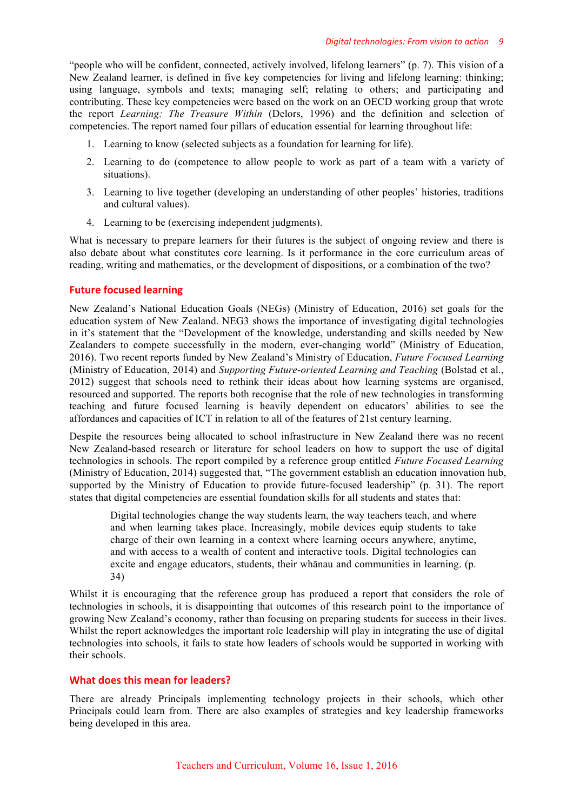"people who will be confident, connected, actively involved, lifelong learners" (p. 7). This vision of a New Zealand learner, is defined in five key competencies for living and lifelong learning: thinking; using language, symbols and texts; managing self; relating to others; and participating and contributing. These key competencies were based on the work on an OECD working group that wrote the report *Learning: The Treasure Within* (Delors, 1996) and the definition and selection of competencies. The report named four pillars of education essential for learning throughout life:

- 1. Learning to know (selected subjects as a foundation for learning for life).
- 2. Learning to do (competence to allow people to work as part of a team with a variety of situations).
- 3. Learning to live together (developing an understanding of other peoples' histories, traditions and cultural values).
- 4. Learning to be (exercising independent judgments).

What is necessary to prepare learners for their futures is the subject of ongoing review and there is also debate about what constitutes core learning. Is it performance in the core curriculum areas of reading, writing and mathematics, or the development of dispositions, or a combination of the two?

# **Future focused learning**

New Zealand's National Education Goals (NEGs) (Ministry of Education, 2016) set goals for the education system of New Zealand. NEG3 shows the importance of investigating digital technologies in it's statement that the "Development of the knowledge, understanding and skills needed by New Zealanders to compete successfully in the modern, ever-changing world" (Ministry of Education, 2016). Two recent reports funded by New Zealand's Ministry of Education, *Future Focused Learning* (Ministry of Education, 2014) and *Supporting Future-oriented Learning and Teaching* (Bolstad et al., 2012) suggest that schools need to rethink their ideas about how learning systems are organised, resourced and supported. The reports both recognise that the role of new technologies in transforming teaching and future focused learning is heavily dependent on educators' abilities to see the affordances and capacities of ICT in relation to all of the features of 21st century learning.

Despite the resources being allocated to school infrastructure in New Zealand there was no recent New Zealand-based research or literature for school leaders on how to support the use of digital technologies in schools. The report compiled by a reference group entitled *Future Focused Learning* (Ministry of Education, 2014) suggested that, "The government establish an education innovation hub, supported by the Ministry of Education to provide future-focused leadership" (p. 31). The report states that digital competencies are essential foundation skills for all students and states that:

Digital technologies change the way students learn, the way teachers teach, and where and when learning takes place. Increasingly, mobile devices equip students to take charge of their own learning in a context where learning occurs anywhere, anytime, and with access to a wealth of content and interactive tools. Digital technologies can excite and engage educators, students, their whānau and communities in learning. (p. 34)

Whilst it is encouraging that the reference group has produced a report that considers the role of technologies in schools, it is disappointing that outcomes of this research point to the importance of growing New Zealand's economy, rather than focusing on preparing students for success in their lives. Whilst the report acknowledges the important role leadership will play in integrating the use of digital technologies into schools, it fails to state how leaders of schools would be supported in working with their schools.

# **What does this mean for leaders?**

There are already Principals implementing technology projects in their schools, which other Principals could learn from. There are also examples of strategies and key leadership frameworks being developed in this area.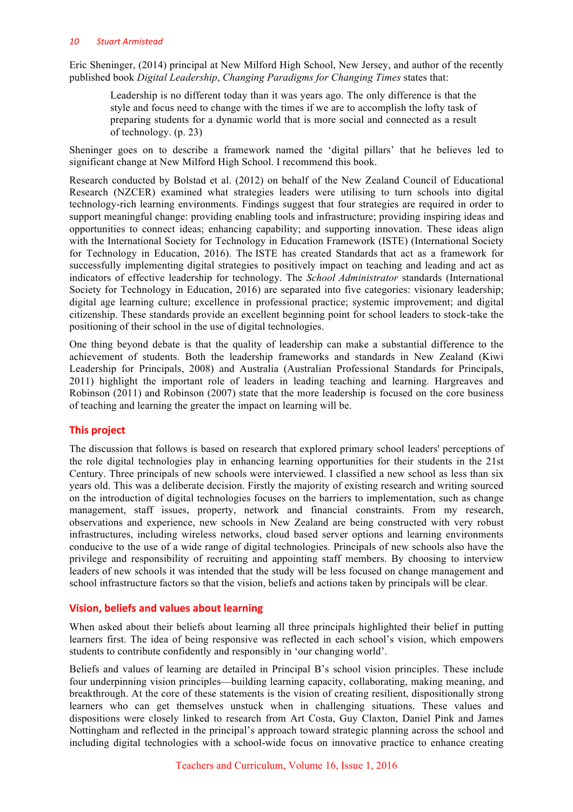Eric Sheninger, (2014) principal at New Milford High School, New Jersey, and author of the recently published book *Digital Leadership*, *Changing Paradigms for Changing Times* states that:

Leadership is no different today than it was years ago. The only difference is that the style and focus need to change with the times if we are to accomplish the lofty task of preparing students for a dynamic world that is more social and connected as a result of technology. (p. 23)

Sheninger goes on to describe a framework named the 'digital pillars' that he believes led to significant change at New Milford High School. I recommend this book.

Research conducted by Bolstad et al. (2012) on behalf of the New Zealand Council of Educational Research (NZCER) examined what strategies leaders were utilising to turn schools into digital technology-rich learning environments. Findings suggest that four strategies are required in order to support meaningful change: providing enabling tools and infrastructure; providing inspiring ideas and opportunities to connect ideas; enhancing capability; and supporting innovation. These ideas align with the International Society for Technology in Education Framework (ISTE) (International Society for Technology in Education, 2016). The ISTE has created Standards that act as a framework for successfully implementing digital strategies to positively impact on teaching and leading and act as indicators of effective leadership for technology. The *School Administrator* standards (International Society for Technology in Education, 2016) are separated into five categories: visionary leadership; digital age learning culture; excellence in professional practice; systemic improvement; and digital citizenship. These standards provide an excellent beginning point for school leaders to stock-take the positioning of their school in the use of digital technologies.

One thing beyond debate is that the quality of leadership can make a substantial difference to the achievement of students. Both the leadership frameworks and standards in New Zealand (Kiwi Leadership for Principals, 2008) and Australia (Australian Professional Standards for Principals, 2011) highlight the important role of leaders in leading teaching and learning. Hargreaves and Robinson (2011) and Robinson (2007) state that the more leadership is focused on the core business of teaching and learning the greater the impact on learning will be.

## **This project**

The discussion that follows is based on research that explored primary school leaders' perceptions of the role digital technologies play in enhancing learning opportunities for their students in the 21st Century. Three principals of new schools were interviewed. I classified a new school as less than six years old. This was a deliberate decision. Firstly the majority of existing research and writing sourced on the introduction of digital technologies focuses on the barriers to implementation, such as change management, staff issues, property, network and financial constraints. From my research, observations and experience, new schools in New Zealand are being constructed with very robust infrastructures, including wireless networks, cloud based server options and learning environments conducive to the use of a wide range of digital technologies. Principals of new schools also have the privilege and responsibility of recruiting and appointing staff members. By choosing to interview leaders of new schools it was intended that the study will be less focused on change management and school infrastructure factors so that the vision, beliefs and actions taken by principals will be clear.

## **Vision, beliefs and values about learning**

When asked about their beliefs about learning all three principals highlighted their belief in putting learners first. The idea of being responsive was reflected in each school's vision, which empowers students to contribute confidently and responsibly in 'our changing world'.

Beliefs and values of learning are detailed in Principal B's school vision principles. These include four underpinning vision principles—building learning capacity, collaborating, making meaning, and breakthrough. At the core of these statements is the vision of creating resilient, dispositionally strong learners who can get themselves unstuck when in challenging situations. These values and dispositions were closely linked to research from Art Costa, Guy Claxton, Daniel Pink and James Nottingham and reflected in the principal's approach toward strategic planning across the school and including digital technologies with a school-wide focus on innovative practice to enhance creating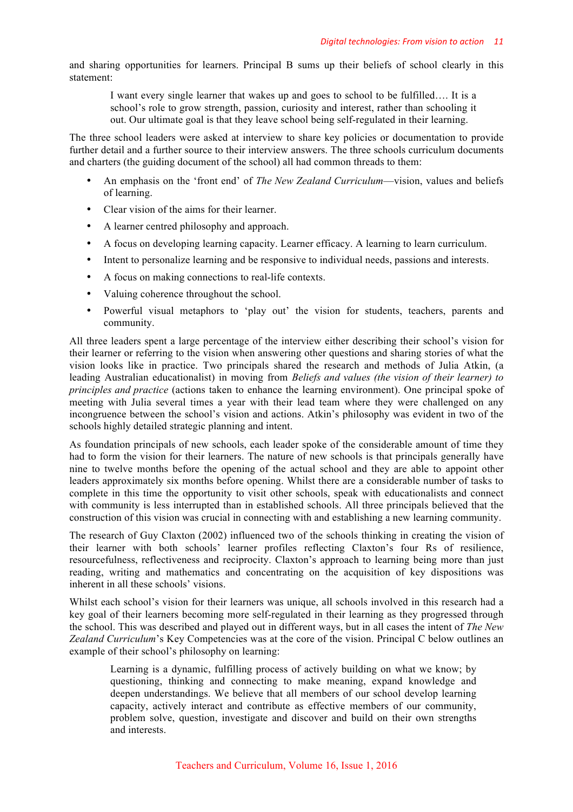and sharing opportunities for learners. Principal B sums up their beliefs of school clearly in this statement:

I want every single learner that wakes up and goes to school to be fulfilled…. It is a school's role to grow strength, passion, curiosity and interest, rather than schooling it out. Our ultimate goal is that they leave school being self-regulated in their learning.

The three school leaders were asked at interview to share key policies or documentation to provide further detail and a further source to their interview answers. The three schools curriculum documents and charters (the guiding document of the school) all had common threads to them:

- An emphasis on the 'front end' of *The New Zealand Curriculum*—vision, values and beliefs of learning.
- Clear vision of the aims for their learner.
- A learner centred philosophy and approach.
- A focus on developing learning capacity. Learner efficacy. A learning to learn curriculum.
- Intent to personalize learning and be responsive to individual needs, passions and interests.
- A focus on making connections to real-life contexts.
- Valuing coherence throughout the school.
- Powerful visual metaphors to 'play out' the vision for students, teachers, parents and community.

All three leaders spent a large percentage of the interview either describing their school's vision for their learner or referring to the vision when answering other questions and sharing stories of what the vision looks like in practice. Two principals shared the research and methods of Julia Atkin, (a leading Australian educationalist) in moving from *Beliefs and values (the vision of their learner) to principles and practice* (actions taken to enhance the learning environment). One principal spoke of meeting with Julia several times a year with their lead team where they were challenged on any incongruence between the school's vision and actions. Atkin's philosophy was evident in two of the schools highly detailed strategic planning and intent.

As foundation principals of new schools, each leader spoke of the considerable amount of time they had to form the vision for their learners. The nature of new schools is that principals generally have nine to twelve months before the opening of the actual school and they are able to appoint other leaders approximately six months before opening. Whilst there are a considerable number of tasks to complete in this time the opportunity to visit other schools, speak with educationalists and connect with community is less interrupted than in established schools. All three principals believed that the construction of this vision was crucial in connecting with and establishing a new learning community.

The research of Guy Claxton (2002) influenced two of the schools thinking in creating the vision of their learner with both schools' learner profiles reflecting Claxton's four Rs of resilience, resourcefulness, reflectiveness and reciprocity. Claxton's approach to learning being more than just reading, writing and mathematics and concentrating on the acquisition of key dispositions was inherent in all these schools' visions.

Whilst each school's vision for their learners was unique, all schools involved in this research had a key goal of their learners becoming more self-regulated in their learning as they progressed through the school. This was described and played out in different ways, but in all cases the intent of *The New Zealand Curriculum*'s Key Competencies was at the core of the vision. Principal C below outlines an example of their school's philosophy on learning:

Learning is a dynamic, fulfilling process of actively building on what we know; by questioning, thinking and connecting to make meaning, expand knowledge and deepen understandings. We believe that all members of our school develop learning capacity, actively interact and contribute as effective members of our community, problem solve, question, investigate and discover and build on their own strengths and interests.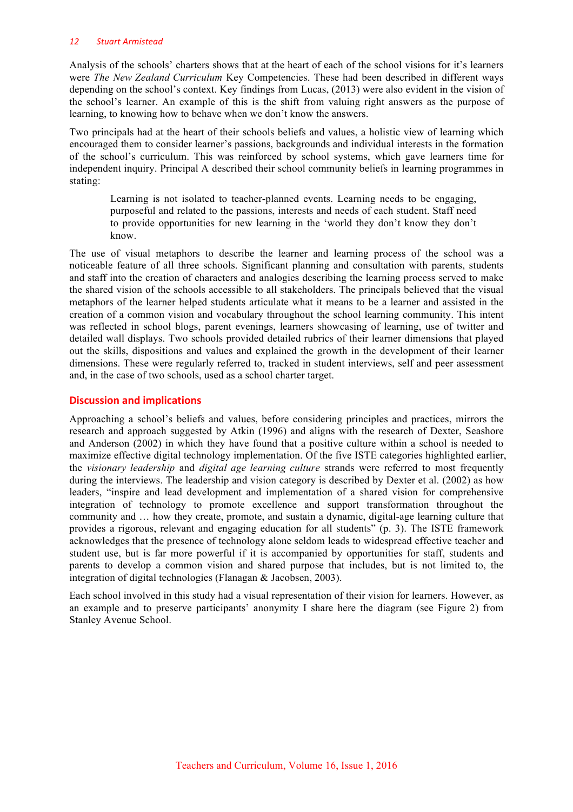#### *12 Stuart Armistead*

Analysis of the schools' charters shows that at the heart of each of the school visions for it's learners were *The New Zealand Curriculum* Key Competencies. These had been described in different ways depending on the school's context. Key findings from Lucas, (2013) were also evident in the vision of the school's learner. An example of this is the shift from valuing right answers as the purpose of learning, to knowing how to behave when we don't know the answers.

Two principals had at the heart of their schools beliefs and values, a holistic view of learning which encouraged them to consider learner's passions, backgrounds and individual interests in the formation of the school's curriculum. This was reinforced by school systems, which gave learners time for independent inquiry. Principal A described their school community beliefs in learning programmes in stating:

Learning is not isolated to teacher-planned events. Learning needs to be engaging, purposeful and related to the passions, interests and needs of each student. Staff need to provide opportunities for new learning in the 'world they don't know they don't know.

The use of visual metaphors to describe the learner and learning process of the school was a noticeable feature of all three schools. Significant planning and consultation with parents, students and staff into the creation of characters and analogies describing the learning process served to make the shared vision of the schools accessible to all stakeholders. The principals believed that the visual metaphors of the learner helped students articulate what it means to be a learner and assisted in the creation of a common vision and vocabulary throughout the school learning community. This intent was reflected in school blogs, parent evenings, learners showcasing of learning, use of twitter and detailed wall displays. Two schools provided detailed rubrics of their learner dimensions that played out the skills, dispositions and values and explained the growth in the development of their learner dimensions. These were regularly referred to, tracked in student interviews, self and peer assessment and, in the case of two schools, used as a school charter target.

# **Discussion and implications**

Approaching a school's beliefs and values, before considering principles and practices, mirrors the research and approach suggested by Atkin (1996) and aligns with the research of Dexter, Seashore and Anderson (2002) in which they have found that a positive culture within a school is needed to maximize effective digital technology implementation. Of the five ISTE categories highlighted earlier, the *visionary leadership* and *digital age learning culture* strands were referred to most frequently during the interviews. The leadership and vision category is described by Dexter et al. (2002) as how leaders, "inspire and lead development and implementation of a shared vision for comprehensive integration of technology to promote excellence and support transformation throughout the community and … how they create, promote, and sustain a dynamic, digital-age learning culture that provides a rigorous, relevant and engaging education for all students" (p. 3). The ISTE framework acknowledges that the presence of technology alone seldom leads to widespread effective teacher and student use, but is far more powerful if it is accompanied by opportunities for staff, students and parents to develop a common vision and shared purpose that includes, but is not limited to, the integration of digital technologies (Flanagan & Jacobsen, 2003).

Each school involved in this study had a visual representation of their vision for learners. However, as an example and to preserve participants' anonymity I share here the diagram (see Figure 2) from Stanley Avenue School.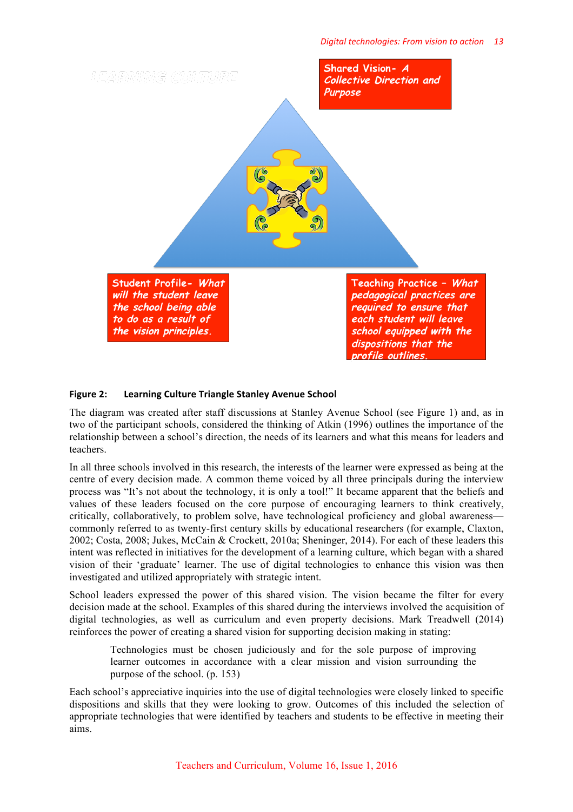

#### Figure 2: Learning Culture Triangle Stanley Avenue School

The diagram was created after staff discussions at Stanley Avenue School (see Figure 1) and, as in two of the participant schools, considered the thinking of Atkin (1996) outlines the importance of the relationship between a school's direction, the needs of its learners and what this means for leaders and teachers.

In all three schools involved in this research, the interests of the learner were expressed as being at the centre of every decision made. A common theme voiced by all three principals during the interview process was "It's not about the technology, it is only a tool!" It became apparent that the beliefs and values of these leaders focused on the core purpose of encouraging learners to think creatively, critically, collaboratively, to problem solve, have technological proficiency and global awareness commonly referred to as twenty-first century skills by educational researchers (for example, Claxton, 2002; Costa, 2008; Jukes, McCain & Crockett, 2010a; Sheninger, 2014). For each of these leaders this intent was reflected in initiatives for the development of a learning culture, which began with a shared vision of their 'graduate' learner. The use of digital technologies to enhance this vision was then investigated and utilized appropriately with strategic intent.

School leaders expressed the power of this shared vision. The vision became the filter for every decision made at the school. Examples of this shared during the interviews involved the acquisition of digital technologies, as well as curriculum and even property decisions. Mark Treadwell (2014) reinforces the power of creating a shared vision for supporting decision making in stating:

Technologies must be chosen judiciously and for the sole purpose of improving learner outcomes in accordance with a clear mission and vision surrounding the purpose of the school. (p. 153)

Each school's appreciative inquiries into the use of digital technologies were closely linked to specific dispositions and skills that they were looking to grow. Outcomes of this included the selection of appropriate technologies that were identified by teachers and students to be effective in meeting their aims.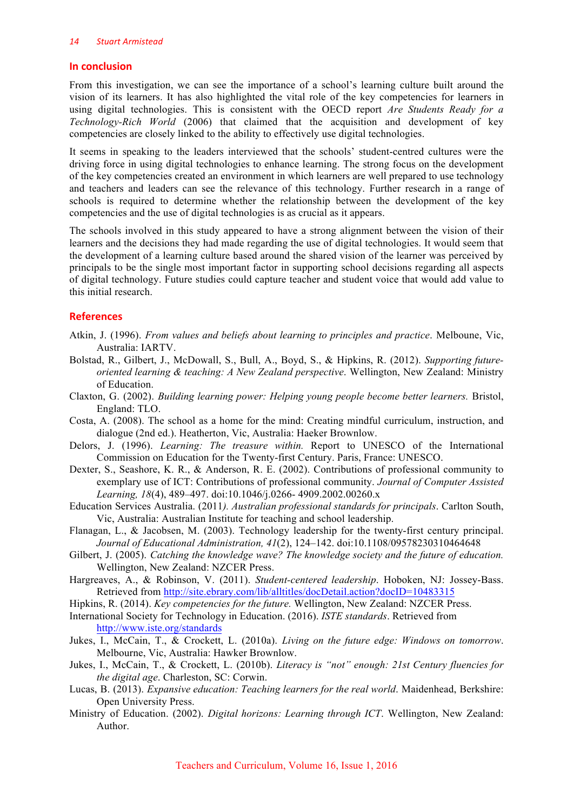## **In conclusion**

From this investigation, we can see the importance of a school's learning culture built around the vision of its learners. It has also highlighted the vital role of the key competencies for learners in using digital technologies. This is consistent with the OECD report *Are Students Ready for a Technology-Rich World* (2006) that claimed that the acquisition and development of key competencies are closely linked to the ability to effectively use digital technologies.

It seems in speaking to the leaders interviewed that the schools' student-centred cultures were the driving force in using digital technologies to enhance learning. The strong focus on the development of the key competencies created an environment in which learners are well prepared to use technology and teachers and leaders can see the relevance of this technology. Further research in a range of schools is required to determine whether the relationship between the development of the key competencies and the use of digital technologies is as crucial as it appears.

The schools involved in this study appeared to have a strong alignment between the vision of their learners and the decisions they had made regarding the use of digital technologies. It would seem that the development of a learning culture based around the shared vision of the learner was perceived by principals to be the single most important factor in supporting school decisions regarding all aspects of digital technology. Future studies could capture teacher and student voice that would add value to this initial research.

# **References**

- Atkin, J. (1996). *From values and beliefs about learning to principles and practice*. Melboune, Vic, Australia: IARTV.
- Bolstad, R., Gilbert, J., McDowall, S., Bull, A., Boyd, S., & Hipkins, R. (2012). *Supporting futureoriented learning & teaching: A New Zealand perspective*. Wellington, New Zealand: Ministry of Education.
- Claxton, G. (2002). *Building learning power: Helping young people become better learners.* Bristol, England: TLO.
- Costa, A. (2008). The school as a home for the mind: Creating mindful curriculum, instruction, and dialogue (2nd ed.). Heatherton, Vic, Australia: Haeker Brownlow.
- Delors, J. (1996). *Learning: The treasure within.* Report to UNESCO of the International Commission on Education for the Twenty-first Century. Paris, France: UNESCO.
- Dexter, S., Seashore, K. R., & Anderson, R. E. (2002). Contributions of professional community to exemplary use of ICT: Contributions of professional community. *Journal of Computer Assisted Learning, 18*(4), 489–497. doi:10.1046/j.0266- 4909.2002.00260.x
- Education Services Australia. (2011*). Australian professional standards for principals*. Carlton South, Vic, Australia: Australian Institute for teaching and school leadership.
- Flanagan, L., & Jacobsen, M. (2003). Technology leadership for the twenty-first century principal. *Journal of Educational Administration, 41*(2), 124–142. doi:10.1108/09578230310464648
- Gilbert, J. (2005). *Catching the knowledge wave? The knowledge society and the future of education.* Wellington, New Zealand: NZCER Press.
- Hargreaves, A., & Robinson, V. (2011). *Student-centered leadership*. Hoboken, NJ: Jossey-Bass. Retrieved from http://site.ebrary.com/lib/alltitles/docDetail.action?docID=10483315
- Hipkins, R. (2014). *Key competencies for the future.* Wellington, New Zealand: NZCER Press.
- International Society for Technology in Education. (2016). *ISTE standards*. Retrieved from http://www.iste.org/standards
- Jukes, I., McCain, T., & Crockett, L. (2010a). *Living on the future edge: Windows on tomorrow*. Melbourne, Vic, Australia: Hawker Brownlow.
- Jukes, I., McCain, T., & Crockett, L. (2010b). *Literacy is "not" enough: 21st Century fluencies for the digital age*. Charleston, SC: Corwin.
- Lucas, B. (2013). *Expansive education: Teaching learners for the real world*. Maidenhead, Berkshire: Open University Press.
- Ministry of Education. (2002). *Digital horizons: Learning through ICT*. Wellington, New Zealand: Author.